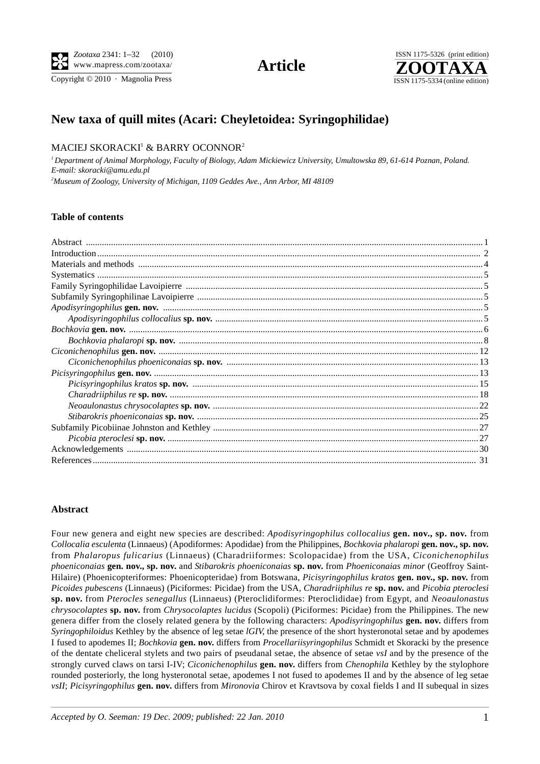Copyright  $© 2010$  · Magnolia Press ISSN 1175-5334 (online edition)



# **New taxa of quill mites (Acari: Cheyletoidea: Syringophilidae)**

## $\rm MACIEJ$   $\rm SKORACKI^{1}$   $\&$   $\rm BARRY$   $\rm OCONNOR^{2}$

*1 Department of Animal Morphology, Faculty of Biology, Adam Mickiewicz University, Umultowska 89, 61-614 Poznan, Poland. E-mail: skoracki@amu.edu.pl 2 Museum of Zoology, University of Michigan, 1109 Geddes Ave., Ann Arbor, MI 48109*

## **Table of contents**

## **Abstract**

Four new genera and eight new species are described: *Apodisyringophilus collocalius* **gen. nov., sp. nov.** from *Collocalia esculenta* (Linnaeus) (Apodiformes: Apodidae) from the Philippines, *Bochkovia phalaropi* **gen. nov., sp. nov.** from *Phalaropus fulicarius* (Linnaeus) (Charadriiformes: Scolopacidae) from the USA, *Ciconichenophilus phoeniconaias* **gen. nov., sp. nov.** and *Stibarokris phoeniconaias* **sp. nov.** from *Phoeniconaias minor* (Geoffroy Saint-Hilaire) (Phoenicopteriformes: Phoenicopteridae) from Botswana, *Picisyringophilus kratos* **gen. nov., sp. nov.** from *Picoides pubescens* (Linnaeus) (Piciformes: Picidae) from the USA, *Charadriiphilus re* **sp. nov.** and *Picobia pteroclesi* **sp. nov.** from *Pterocles senegallus* (Linnaeus) (Pteroclidiformes: Pteroclididae) from Egypt, and *Neoaulonastus chrysocolaptes* **sp. nov.** from *Chrysocolaptes lucidus* (Scopoli) (Piciformes: Picidae) from the Philippines. The new genera differ from the closely related genera by the following characters: *Apodisyringophilus* **gen. nov.** differs from *Syringophiloidus* Kethley by the absence of leg setae *lGIV*, the presence of the short hysteronotal setae and by apodemes I fused to apodemes II; *Bochkovia* **gen. nov.** differs from *Procellariisyringophilus* Schmidt et Skoracki by the presence of the dentate cheliceral stylets and two pairs of pseudanal setae, the absence of setae *vsI* and by the presence of the strongly curved claws on tarsi I-IV; *Ciconichenophilus* **gen. nov.** differs from *Chenophila* Kethley by the stylophore rounded posteriorly, the long hysteronotal setae, apodemes I not fused to apodemes II and by the absence of leg setae *vsII*; *Picisyringophilus* **gen. nov.** differs from *Mironovia* Chirov et Kravtsova by coxal fields I and II subequal in sizes